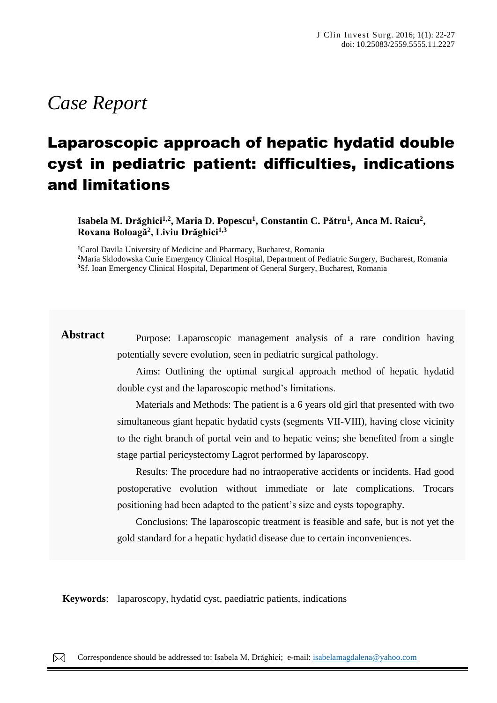# *Case Report*

## Laparoscopic approach of hepatic hydatid double cyst in pediatric patient: difficulties, indications and limitations

**Isabela M. Drăghici1,2, Maria D. Popescu<sup>1</sup> , Constantin C. Pătru<sup>1</sup> , Anca M. Raicu<sup>2</sup> , Roxana Boloagă<sup>2</sup> , Liviu Drăghici1,3**

**<sup>1</sup>**Carol Davila University of Medicine and Pharmacy, Bucharest, Romania **<sup>2</sup>**Maria Sklodowska Curie Emergency Clinical Hospital, Department of Pediatric Surgery, Bucharest, Romania **<sup>3</sup>**Sf. Ioan Emergency Clinical Hospital, Department of General Surgery, Bucharest, Romania

**Abstract** Purpose: Laparoscopic management analysis of a rare condition having potentially severe evolution, seen in pediatric surgical pathology.

> Aims: Outlining the optimal surgical approach method of hepatic hydatid double cyst and the laparoscopic method's limitations.

> Materials and Methods: The patient is a 6 years old girl that presented with two simultaneous giant hepatic hydatid cysts (segments VII-VIII), having close vicinity to the right branch of portal vein and to hepatic veins; she benefited from a single stage partial pericystectomy Lagrot performed by laparoscopy.

> Results: The procedure had no intraoperative accidents or incidents. Had good postoperative evolution without immediate or late complications. Trocars positioning had been adapted to the patient's size and cysts topography.

> Conclusions: The laparoscopic treatment is feasible and safe, but is not yet the gold standard for a hepatic hydatid disease due to certain inconveniences.

**Keywords**: laparoscopy, hydatid cyst, paediatric patients, indications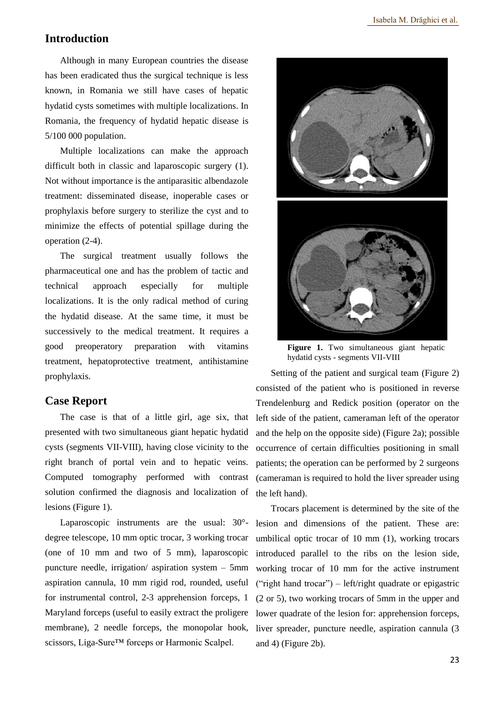#### **Introduction**

Although in many European countries the disease has been eradicated thus the surgical technique is less known, in Romania we still have cases of hepatic hydatid cysts sometimes with multiple localizations. In Romania, the frequency of hydatid hepatic disease is 5/100 000 population.

Multiple localizations can make the approach difficult both in classic and laparoscopic surgery (1). Not without importance is the antiparasitic albendazole treatment: disseminated disease, inoperable cases or prophylaxis before surgery to sterilize the cyst and to minimize the effects of potential spillage during the operation (2-4).

The surgical treatment usually follows the pharmaceutical one and has the problem of tactic and technical approach especially for multiple localizations. It is the only radical method of curing the hydatid disease. At the same time, it must be successively to the medical treatment. It requires a good preoperatory preparation with vitamins treatment, hepatoprotective treatment, antihistamine prophylaxis.

#### **Case Report**

The case is that of a little girl, age six, that presented with two simultaneous giant hepatic hydatid cysts (segments VII-VIII), having close vicinity to the right branch of portal vein and to hepatic veins. Computed tomography performed with contrast solution confirmed the diagnosis and localization of lesions (Figure 1).

Laparoscopic instruments are the usual: 30° degree telescope, 10 mm optic trocar, 3 working trocar (one of 10 mm and two of 5 mm), laparoscopic puncture needle, irrigation/ aspiration system – 5mm aspiration cannula, 10 mm rigid rod, rounded, useful for instrumental control, 2-3 apprehension forceps, 1 Maryland forceps (useful to easily extract the proligere membrane), 2 needle forceps, the monopolar hook, scissors, Liga-Sure™ forceps or Harmonic Scalpel.



Figure 1. Two simultaneous giant hepatic hydatid cysts - segments VII-VIII

Setting of the patient and surgical team (Figure 2) consisted of the patient who is positioned in reverse Trendelenburg and Redick position (operator on the left side of the patient, cameraman left of the operator and the help on the opposite side) (Figure 2a); possible occurrence of certain difficulties positioning in small patients; the operation can be performed by 2 surgeons (cameraman is required to hold the liver spreader using the left hand).

Trocars placement is determined by the site of the lesion and dimensions of the patient. These are: umbilical optic trocar of 10 mm (1), working trocars introduced parallel to the ribs on the lesion side, working trocar of 10 mm for the active instrument ("right hand trocar") – left/right quadrate or epigastric (2 or 5), two working trocars of 5mm in the upper and lower quadrate of the lesion for: apprehension forceps, liver spreader, puncture needle, aspiration cannula (3 and 4) (Figure 2b).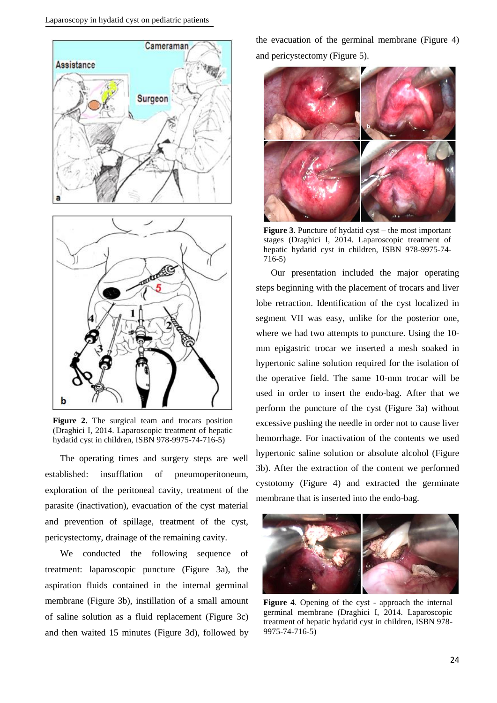

**Figure 2.** The surgical team and trocars position (Draghici I, 2014. Laparoscopic treatment of hepatic hydatid cyst in children, ISBN 978-9975-74-716-5)

The operating times and surgery steps are well established: insufflation of pneumoperitoneum, exploration of the peritoneal cavity, treatment of the parasite (inactivation), evacuation of the cyst material and prevention of spillage, treatment of the cyst, pericystectomy, drainage of the remaining cavity.

We conducted the following sequence of treatment: laparoscopic puncture (Figure 3a), the aspiration fluids contained in the internal germinal membrane (Figure 3b), instillation of a small amount of saline solution as a fluid replacement (Figure 3c) and then waited 15 minutes (Figure 3d), followed by

the evacuation of the germinal membrane (Figure 4) and pericystectomy (Figure 5).



**Figure 3**. Puncture of hydatid cyst – the most important stages (Draghici I, 2014. Laparoscopic treatment of hepatic hydatid cyst in children, ISBN 978-9975-74- 716-5)

Our presentation included the major operating steps beginning with the placement of trocars and liver lobe retraction. Identification of the cyst localized in segment VII was easy, unlike for the posterior one, where we had two attempts to puncture. Using the 10 mm epigastric trocar we inserted a mesh soaked in hypertonic saline solution required for the isolation of the operative field. The same 10-mm trocar will be used in order to insert the endo-bag. After that we perform the puncture of the cyst (Figure 3a) without excessive pushing the needle in order not to cause liver hemorrhage. For inactivation of the contents we used hypertonic saline solution or absolute alcohol (Figure 3b). After the extraction of the content we performed cystotomy (Figure 4) and extracted the germinate membrane that is inserted into the endo-bag.



**Figure 4**. Opening of the cyst - approach the internal germinal membrane (Draghici I, 2014. Laparoscopic treatment of hepatic hydatid cyst in children, ISBN 978- 9975-74-716-5)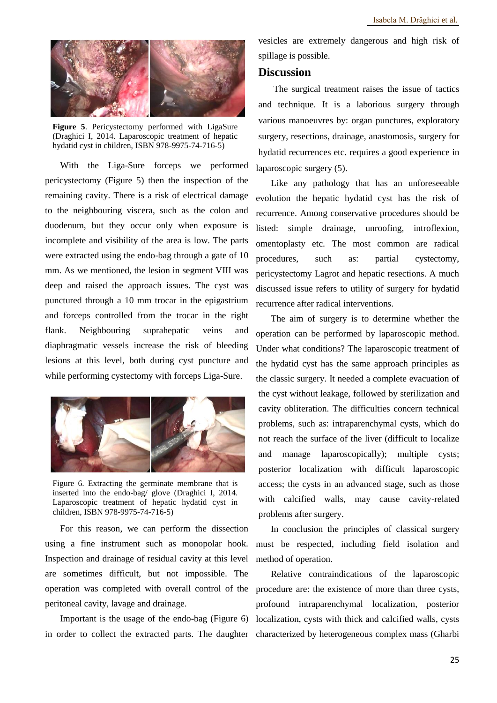

**Figure 5**. Pericystectomy performed with LigaSure (Draghici I, 2014. Laparoscopic treatment of hepatic hydatid cyst in children, ISBN 978-9975-74-716-5)

With the Liga-Sure forceps we performed pericystectomy (Figure 5) then the inspection of the remaining cavity. There is a risk of electrical damage to the neighbouring viscera, such as the colon and duodenum, but they occur only when exposure is incomplete and visibility of the area is low. The parts were extracted using the endo-bag through a gate of 10 mm. As we mentioned, the lesion in segment VIII was deep and raised the approach issues. The cyst was punctured through a 10 mm trocar in the epigastrium and forceps controlled from the trocar in the right flank. Neighbouring suprahepatic veins and diaphragmatic vessels increase the risk of bleeding lesions at this level, both during cyst puncture and while performing cystectomy with forceps Liga-Sure.



Figure 6. Extracting the germinate membrane that is inserted into the endo-bag/ glove (Draghici I, 2014. Laparoscopic treatment of hepatic hydatid cyst in children, ISBN 978-9975-74-716-5)

For this reason, we can perform the dissection using a fine instrument such as monopolar hook. Inspection and drainage of residual cavity at this level are sometimes difficult, but not impossible. The operation was completed with overall control of the peritoneal cavity, lavage and drainage.

vesicles are extremely dangerous and high risk of spillage is possible.

#### **Discussion**

The surgical treatment raises the issue of tactics and technique. It is a laborious surgery through various manoeuvres by: organ punctures, exploratory surgery, resections, drainage, anastomosis, surgery for hydatid recurrences etc. requires a good experience in laparoscopic surgery (5).

Like any pathology that has an unforeseeable evolution the hepatic hydatid cyst has the risk of recurrence. Among conservative procedures should be listed: simple drainage, unroofing, introflexion, omentoplasty etc. The most common are radical procedures, such as: partial cystectomy, pericystectomy Lagrot and hepatic resections. A much discussed issue refers to utility of surgery for hydatid recurrence after radical interventions.

The aim of surgery is to determine whether the operation can be performed by laparoscopic method. Under what conditions? The laparoscopic treatment of the hydatid cyst has the same approach principles as the classic surgery. It needed a complete evacuation of the cyst without leakage, followed by sterilization and cavity obliteration. The difficulties concern technical problems, such as: intraparenchymal cysts, which do not reach the surface of the liver (difficult to localize and manage laparoscopically); multiple cysts; posterior localization with difficult laparoscopic access; the cysts in an advanced stage, such as those with calcified walls, may cause cavity-related problems after surgery.

In conclusion the principles of classical surgery must be respected, including field isolation and method of operation.

Important is the usage of the endo-bag (Figure 6) localization, cysts with thick and calcified walls, cysts in order to collect the extracted parts. The daughter characterized by heterogeneous complex mass (Gharbi Relative contraindications of the laparoscopic procedure are: the existence of more than three cysts, profound intraparenchymal localization, posterior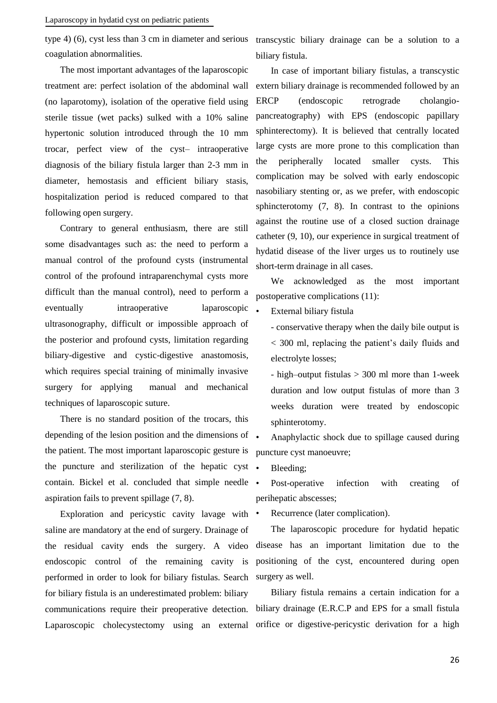type 4) (6), cyst less than 3 cm in diameter and serious transcystic biliary drainage can be a solution to a coagulation abnormalities.

The most important advantages of the laparoscopic treatment are: perfect isolation of the abdominal wall (no laparotomy), isolation of the operative field using sterile tissue (wet packs) sulked with a 10% saline hypertonic solution introduced through the 10 mm trocar, perfect view of the cyst– intraoperative diagnosis of the biliary fistula larger than 2-3 mm in diameter, hemostasis and efficient biliary stasis, hospitalization period is reduced compared to that following open surgery.

Contrary to general enthusiasm, there are still some disadvantages such as: the need to perform a manual control of the profound cysts (instrumental control of the profound intraparenchymal cysts more difficult than the manual control), need to perform a eventually intraoperative laparoscopic ultrasonography, difficult or impossible approach of the posterior and profound cysts, limitation regarding biliary-digestive and cystic-digestive anastomosis, which requires special training of minimally invasive surgery for applying manual and mechanical techniques of laparoscopic suture.

There is no standard position of the trocars, this depending of the lesion position and the dimensions of  $\blacksquare$ the patient. The most important laparoscopic gesture is the puncture and sterilization of the hepatic cyst contain. Bickel et al. concluded that simple needle aspiration fails to prevent spillage (7, 8).

Exploration and pericystic cavity lavage with • saline are mandatory at the end of surgery. Drainage of the residual cavity ends the surgery. A video endoscopic control of the remaining cavity is performed in order to look for biliary fistulas. Search for biliary fistula is an underestimated problem: biliary communications require their preoperative detection. Laparoscopic cholecystectomy using an external

biliary fistula.

In case of important biliary fistulas, a transcystic extern biliary drainage is recommended followed by an ERCP (endoscopic retrograde cholangiopancreatography) with EPS (endoscopic papillary sphinterectomy). It is believed that centrally located large cysts are more prone to this complication than the peripherally located smaller cysts. This complication may be solved with early endoscopic nasobiliary stenting or, as we prefer, with endoscopic sphincterotomy (7, 8). In contrast to the opinions against the routine use of a closed suction drainage catheter (9, 10), our experience in surgical treatment of hydatid disease of the liver urges us to routinely use short-term drainage in all cases.

We acknowledged as the most important postoperative complications (11):

External biliary fistula

- conservative therapy when the daily bile output is < 300 ml, replacing the patient's daily fluids and electrolyte losses;

- high–output fistulas > 300 ml more than 1-week duration and low output fistulas of more than 3 weeks duration were treated by endoscopic sphinterotomy.

• Anaphylactic shock due to spillage caused during puncture cyst manoeuvre;

Bleeding;

Post-operative infection with creating of perihepatic abscesses;

Recurrence (later complication).

The laparoscopic procedure for hydatid hepatic disease has an important limitation due to the positioning of the cyst, encountered during open surgery as well.

Biliary fistula remains a certain indication for a biliary drainage (E.R.C.P and EPS for a small fistula orifice or digestive-pericystic derivation for a high